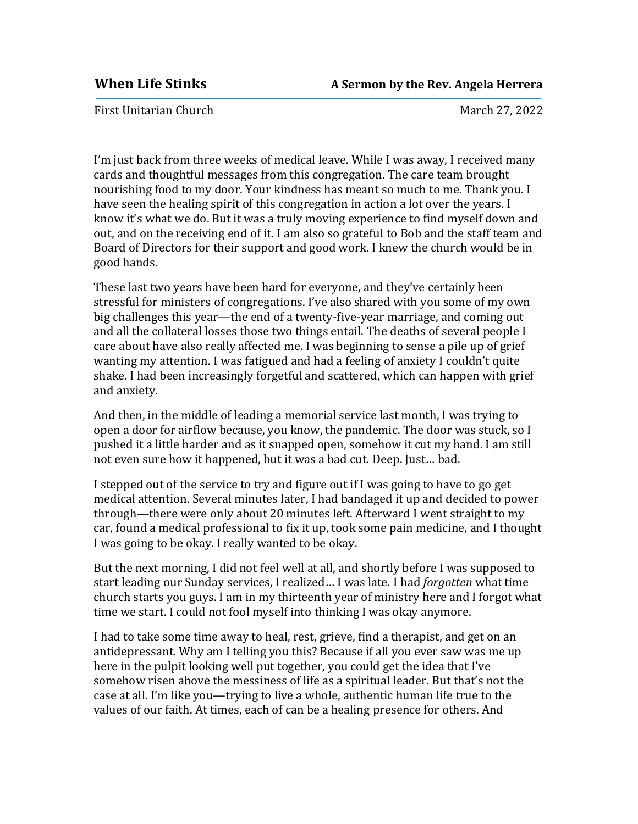First Unitarian Church **March 27, 2022** March 27, 2022

I'm just back from three weeks of medical leave. While I was away, I received many cards and thoughtful messages from this congregation. The care team brought nourishing food to my door. Your kindness has meant so much to me. Thank you. I have seen the healing spirit of this congregation in action a lot over the years. I know it's what we do. But it was a truly moving experience to find myself down and out, and on the receiving end of it. I am also so grateful to Bob and the staff team and Board of Directors for their support and good work. I knew the church would be in good hands.

These last two years have been hard for everyone, and they've certainly been stressful for ministers of congregations. I've also shared with you some of my own big challenges this year—the end of a twenty-five-year marriage, and coming out and all the collateral losses those two things entail. The deaths of several people I care about have also really affected me. I was beginning to sense a pile up of grief wanting my attention. I was fatigued and had a feeling of anxiety I couldn't quite shake. I had been increasingly forgetful and scattered, which can happen with grief and anxiety.

And then, in the middle of leading a memorial service last month, I was trying to open a door for airflow because, you know, the pandemic. The door was stuck, so I pushed it a little harder and as it snapped open, somehow it cut my hand. I am still not even sure how it happened, but it was a bad cut. Deep. Just… bad.

I stepped out of the service to try and figure out if I was going to have to go get medical attention. Several minutes later, I had bandaged it up and decided to power through—there were only about 20 minutes left. Afterward I went straight to my car, found a medical professional to fix it up, took some pain medicine, and I thought I was going to be okay. I really wanted to be okay.

But the next morning, I did not feel well at all, and shortly before I was supposed to start leading our Sunday services, I realized… I was late. I had *forgotten* what time church starts you guys. I am in my thirteenth year of ministry here and I forgot what time we start. I could not fool myself into thinking I was okay anymore.

I had to take some time away to heal, rest, grieve, find a therapist, and get on an antidepressant. Why am I telling you this? Because if all you ever saw was me up here in the pulpit looking well put together, you could get the idea that I've somehow risen above the messiness of life as a spiritual leader. But that's not the case at all. I'm like you—trying to live a whole, authentic human life true to the values of our faith. At times, each of can be a healing presence for others. And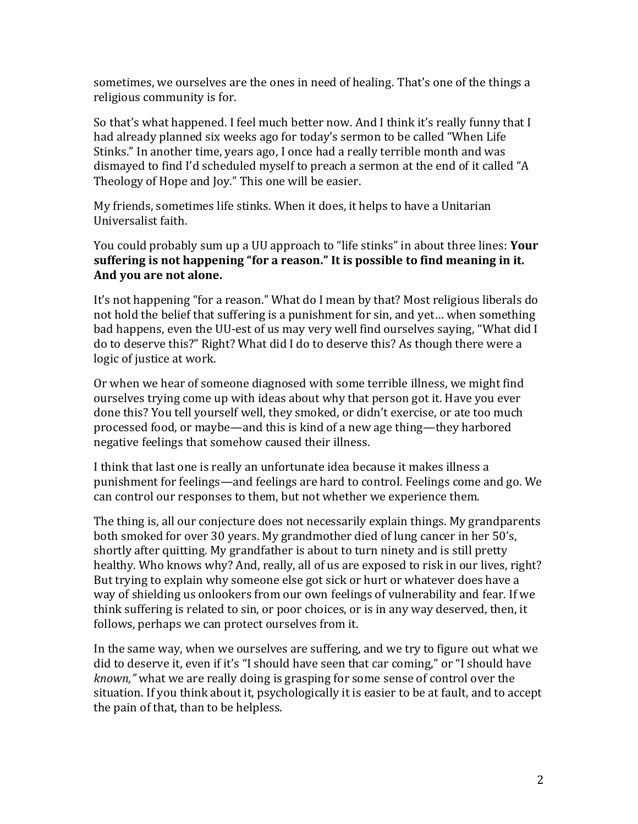sometimes, we ourselves are the ones in need of healing. That's one of the things a religious community is for.

So that's what happened. I feel much better now. And I think it's really funny that I had already planned six weeks ago for today's sermon to be called "When Life Stinks." In another time, years ago, I once had a really terrible month and was dismayed to find I'd scheduled myself to preach a sermon at the end of it called "A Theology of Hope and Joy." This one will be easier.

My friends, sometimes life stinks. When it does, it helps to have a Unitarian Universalist faith.

You could probably sum up a UU approach to "life stinks" in about three lines: **Your suffering is not happening "for a reason." It is possible to find meaning in it. And you are not alone.**

It's not happening "for a reason." What do I mean by that? Most religious liberals do not hold the belief that suffering is a punishment for sin, and yet… when something bad happens, even the UU-est of us may very well find ourselves saying, "What did I do to deserve this?" Right? What did I do to deserve this? As though there were a logic of justice at work.

Or when we hear of someone diagnosed with some terrible illness, we might find ourselves trying come up with ideas about why that person got it. Have you ever done this? You tell yourself well, they smoked, or didn't exercise, or ate too much processed food, or maybe—and this is kind of a new age thing—they harbored negative feelings that somehow caused their illness.

I think that last one is really an unfortunate idea because it makes illness a punishment for feelings—and feelings are hard to control. Feelings come and go. We can control our responses to them, but not whether we experience them.

The thing is, all our conjecture does not necessarily explain things. My grandparents both smoked for over 30 years. My grandmother died of lung cancer in her 50's, shortly after quitting. My grandfather is about to turn ninety and is still pretty healthy. Who knows why? And, really, all of us are exposed to risk in our lives, right? But trying to explain why someone else got sick or hurt or whatever does have a way of shielding us onlookers from our own feelings of vulnerability and fear. If we think suffering is related to sin, or poor choices, or is in any way deserved, then, it follows, perhaps we can protect ourselves from it.

In the same way, when we ourselves are suffering, and we try to figure out what we did to deserve it, even if it's "I should have seen that car coming," or "I should have *known,"* what we are really doing is grasping for some sense of control over the situation. If you think about it, psychologically it is easier to be at fault, and to accept the pain of that, than to be helpless.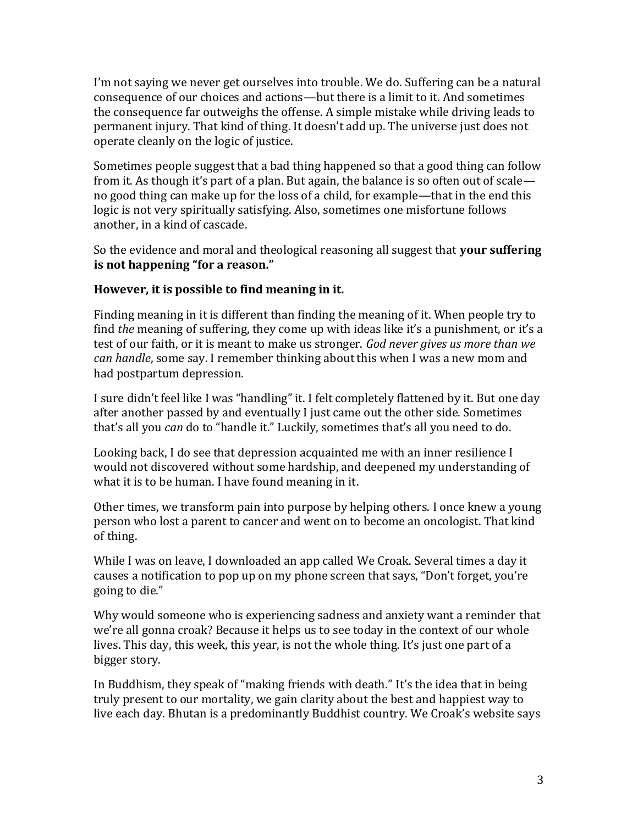I'm not saying we never get ourselves into trouble. We do. Suffering can be a natural consequence of our choices and actions—but there is a limit to it. And sometimes the consequence far outweighs the offense. A simple mistake while driving leads to permanent injury. That kind of thing. It doesn't add up. The universe just does not operate cleanly on the logic of justice.

Sometimes people suggest that a bad thing happened so that a good thing can follow from it. As though it's part of a plan. But again, the balance is so often out of scale no good thing can make up for the loss of a child, for example—that in the end this logic is not very spiritually satisfying. Also, sometimes one misfortune follows another, in a kind of cascade.

So the evidence and moral and theological reasoning all suggest that **your suffering is not happening "for a reason."**

## **However, it is possible to find meaning in it.**

Finding meaning in it is different than finding the meaning of it. When people try to find *the* meaning of suffering, they come up with ideas like it's a punishment, or it's a test of our faith, or it is meant to make us stronger. *God never gives us more than we can handle*, some say. I remember thinking about this when I was a new mom and had postpartum depression.

I sure didn't feel like I was "handling" it. I felt completely flattened by it. But one day after another passed by and eventually I just came out the other side. Sometimes that's all you *can* do to "handle it." Luckily, sometimes that's all you need to do.

Looking back, I do see that depression acquainted me with an inner resilience I would not discovered without some hardship, and deepened my understanding of what it is to be human. I have found meaning in it.

Other times, we transform pain into purpose by helping others. I once knew a young person who lost a parent to cancer and went on to become an oncologist. That kind of thing.

While I was on leave, I downloaded an app called We Croak. Several times a day it causes a notification to pop up on my phone screen that says, "Don't forget, you're going to die."

Why would someone who is experiencing sadness and anxiety want a reminder that we're all gonna croak? Because it helps us to see today in the context of our whole lives. This day, this week, this year, is not the whole thing. It's just one part of a bigger story.

In Buddhism, they speak of "making friends with death." It's the idea that in being truly present to our mortality, we gain clarity about the best and happiest way to live each day. Bhutan is a predominantly Buddhist country. We Croak's website says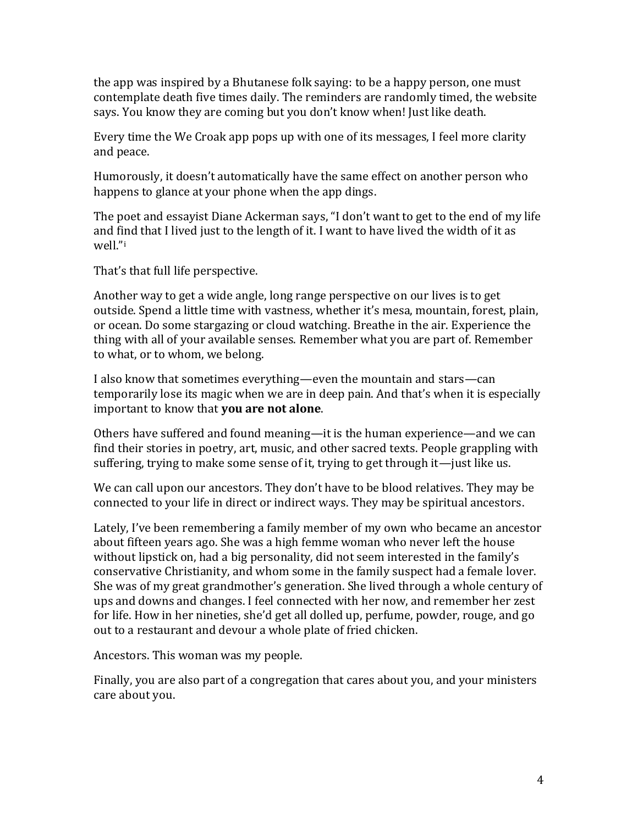the app was inspired by a Bhutanese folk saying: to be a happy person, one must contemplate death five times daily. The reminders are randomly timed, the website says. You know they are coming but you don't know when! Just like death.

Every time the We Croak app pops up with one of its messages, I feel more clarity and peace.

Humorously, it doesn't automatically have the same effect on another person who happens to glance at your phone when the app dings.

The poet and essayist Diane Ackerman says, "I don't want to get to the end of my life and find that I lived just to the length of it. I want to have lived the width of it as well."<sup>i</sup>

That's that full life perspective.

Another way to get a wide angle, long range perspective on our lives is to get outside. Spend a little time with vastness, whether it's mesa, mountain, forest, plain, or ocean. Do some stargazing or cloud watching. Breathe in the air. Experience the thing with all of your available senses. Remember what you are part of. Remember to what, or to whom, we belong.

I also know that sometimes everything—even the mountain and stars—can temporarily lose its magic when we are in deep pain. And that's when it is especially important to know that **you are not alone**.

Others have suffered and found meaning—it is the human experience—and we can find their stories in poetry, art, music, and other sacred texts. People grappling with suffering, trying to make some sense of it, trying to get through it—just like us.

We can call upon our ancestors. They don't have to be blood relatives. They may be connected to your life in direct or indirect ways. They may be spiritual ancestors.

Lately, I've been remembering a family member of my own who became an ancestor about fifteen years ago. She was a high femme woman who never left the house without lipstick on, had a big personality, did not seem interested in the family's conservative Christianity, and whom some in the family suspect had a female lover. She was of my great grandmother's generation. She lived through a whole century of ups and downs and changes. I feel connected with her now, and remember her zest for life. How in her nineties, she'd get all dolled up, perfume, powder, rouge, and go out to a restaurant and devour a whole plate of fried chicken.

Ancestors. This woman was my people.

Finally, you are also part of a congregation that cares about you, and your ministers care about you.